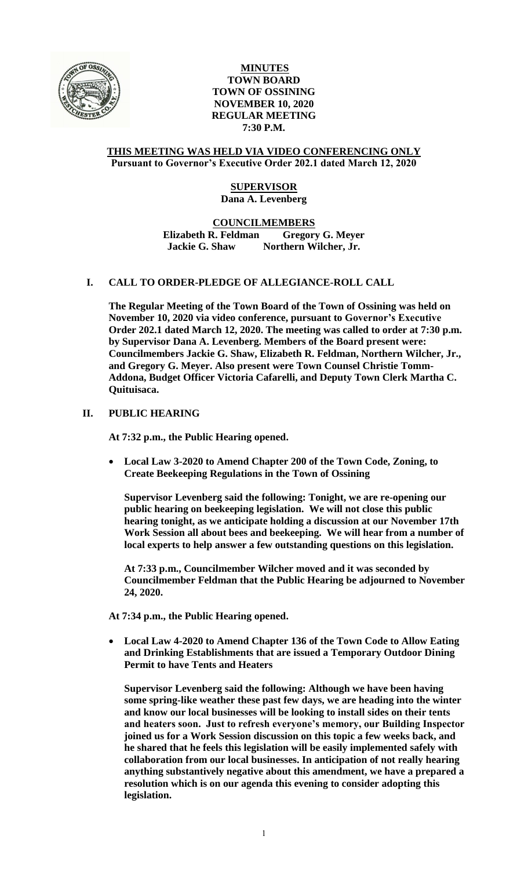

## **MINUTES TOWN BOARD TOWN OF OSSINING NOVEMBER 10, 2020 REGULAR MEETING 7:30 P.M.**

### **THIS MEETING WAS HELD VIA VIDEO CONFERENCING ONLY Pursuant to Governor's Executive Order 202.1 dated March 12, 2020**

# **SUPERVISOR Dana A. Levenberg**

### **COUNCILMEMBERS Elizabeth R. Feldman Gregory G. Meyer Jackie G. Shaw Northern Wilcher, Jr.**

# **I. CALL TO ORDER-PLEDGE OF ALLEGIANCE-ROLL CALL**

**The Regular Meeting of the Town Board of the Town of Ossining was held on November 10, 2020 via video conference, pursuant to Governor's Executive Order 202.1 dated March 12, 2020. The meeting was called to order at 7:30 p.m. by Supervisor Dana A. Levenberg. Members of the Board present were: Councilmembers Jackie G. Shaw, Elizabeth R. Feldman, Northern Wilcher, Jr., and Gregory G. Meyer. Also present were Town Counsel Christie Tomm-Addona, Budget Officer Victoria Cafarelli, and Deputy Town Clerk Martha C. Quituisaca.**

# **II. PUBLIC HEARING**

**At 7:32 p.m., the Public Hearing opened.**

 **Local Law 3-2020 to Amend Chapter 200 of the Town Code, Zoning, to Create Beekeeping Regulations in the Town of Ossining**

**Supervisor Levenberg said the following: Tonight, we are re-opening our public hearing on beekeeping legislation. We will not close this public hearing tonight, as we anticipate holding a discussion at our November 17th Work Session all about bees and beekeeping. We will hear from a number of local experts to help answer a few outstanding questions on this legislation.**

**At 7:33 p.m., Councilmember Wilcher moved and it was seconded by Councilmember Feldman that the Public Hearing be adjourned to November 24, 2020.** 

**At 7:34 p.m., the Public Hearing opened.**

 **Local Law 4-2020 to Amend Chapter 136 of the Town Code to Allow Eating and Drinking Establishments that are issued a Temporary Outdoor Dining Permit to have Tents and Heaters**

**Supervisor Levenberg said the following: Although we have been having some spring-like weather these past few days, we are heading into the winter and know our local businesses will be looking to install sides on their tents and heaters soon. Just to refresh everyone's memory, our Building Inspector joined us for a Work Session discussion on this topic a few weeks back, and he shared that he feels this legislation will be easily implemented safely with collaboration from our local businesses. In anticipation of not really hearing anything substantively negative about this amendment, we have a prepared a resolution which is on our agenda this evening to consider adopting this legislation.**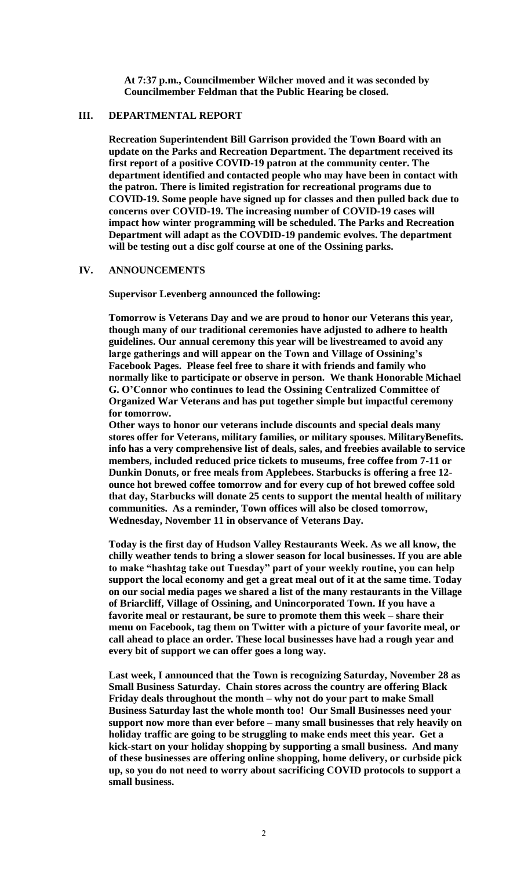**At 7:37 p.m., Councilmember Wilcher moved and it was seconded by Councilmember Feldman that the Public Hearing be closed.**

#### **III. DEPARTMENTAL REPORT**

**Recreation Superintendent Bill Garrison provided the Town Board with an update on the Parks and Recreation Department. The department received its first report of a positive COVID-19 patron at the community center. The department identified and contacted people who may have been in contact with the patron. There is limited registration for recreational programs due to COVID-19. Some people have signed up for classes and then pulled back due to concerns over COVID-19. The increasing number of COVID-19 cases will impact how winter programming will be scheduled. The Parks and Recreation Department will adapt as the COVDID-19 pandemic evolves. The department will be testing out a disc golf course at one of the Ossining parks.** 

#### **IV. ANNOUNCEMENTS**

**Supervisor Levenberg announced the following:**

**Tomorrow is Veterans Day and we are proud to honor our Veterans this year, though many of our traditional ceremonies have adjusted to adhere to health guidelines. Our annual ceremony this year will be livestreamed to avoid any large gatherings and will appear on the Town and Village of Ossining's Facebook Pages. Please feel free to share it with friends and family who normally like to participate or observe in person. We thank Honorable Michael G. O'Connor who continues to lead the Ossining Centralized Committee of Organized War Veterans and has put together simple but impactful ceremony for tomorrow.**

**Other ways to honor our veterans include discounts and special deals many stores offer for Veterans, military families, or military spouses. MilitaryBenefits. info has a very comprehensive list of deals, sales, and freebies available to service members, included reduced price tickets to museums, free coffee from 7-11 or Dunkin Donuts, or free meals from Applebees. Starbucks is offering a free 12 ounce hot brewed coffee tomorrow and for every cup of hot brewed coffee sold that day, Starbucks will donate 25 cents to support the mental health of military communities. As a reminder, Town offices will also be closed tomorrow, Wednesday, November 11 in observance of Veterans Day.** 

**Today is the first day of Hudson Valley Restaurants Week. As we all know, the chilly weather tends to bring a slower season for local businesses. If you are able to make "hashtag take out Tuesday" part of your weekly routine, you can help support the local economy and get a great meal out of it at the same time. Today on our social media pages we shared a list of the many restaurants in the Village of Briarcliff, Village of Ossining, and Unincorporated Town. If you have a favorite meal or restaurant, be sure to promote them this week – share their menu on Facebook, tag them on Twitter with a picture of your favorite meal, or call ahead to place an order. These local businesses have had a rough year and every bit of support we can offer goes a long way.** 

**Last week, I announced that the Town is recognizing Saturday, November 28 as Small Business Saturday. Chain stores across the country are offering Black Friday deals throughout the month – why not do your part to make Small Business Saturday last the whole month too! Our Small Businesses need your support now more than ever before – many small businesses that rely heavily on holiday traffic are going to be struggling to make ends meet this year. Get a kick-start on your holiday shopping by supporting a small business. And many of these businesses are offering online shopping, home delivery, or curbside pick up, so you do not need to worry about sacrificing COVID protocols to support a small business.**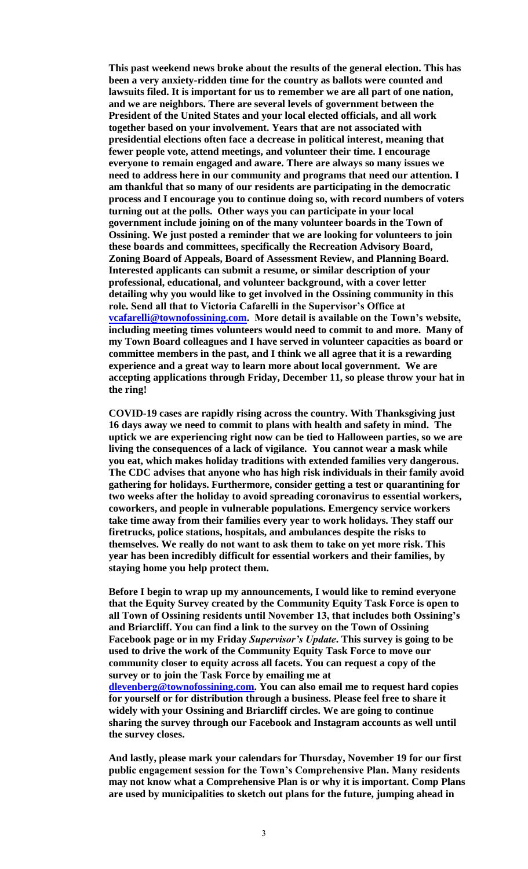**This past weekend news broke about the results of the general election. This has been a very anxiety-ridden time for the country as ballots were counted and lawsuits filed. It is important for us to remember we are all part of one nation, and we are neighbors. There are several levels of government between the President of the United States and your local elected officials, and all work together based on your involvement. Years that are not associated with presidential elections often face a decrease in political interest, meaning that fewer people vote, attend meetings, and volunteer their time. I encourage everyone to remain engaged and aware. There are always so many issues we need to address here in our community and programs that need our attention. I am thankful that so many of our residents are participating in the democratic process and I encourage you to continue doing so, with record numbers of voters turning out at the polls. Other ways you can participate in your local government include joining on of the many volunteer boards in the Town of Ossining. We just posted a reminder that we are looking for volunteers to join these boards and committees, specifically the Recreation Advisory Board, Zoning Board of Appeals, Board of Assessment Review, and Planning Board. Interested applicants can submit a resume, or similar description of your professional, educational, and volunteer background, with a cover letter detailing why you would like to get involved in the Ossining community in this role. Send all that to Victoria Cafarelli in the Supervisor's Office at [vcafarelli@townofossining.com.](mailto:vcafarelli@townofossining.com) More detail is available on the Town's website, including meeting times volunteers would need to commit to and more. Many of my Town Board colleagues and I have served in volunteer capacities as board or committee members in the past, and I think we all agree that it is a rewarding experience and a great way to learn more about local government. We are accepting applications through Friday, December 11, so please throw your hat in the ring!** 

**COVID-19 cases are rapidly rising across the country. With Thanksgiving just 16 days away we need to commit to plans with health and safety in mind. The uptick we are experiencing right now can be tied to Halloween parties, so we are living the consequences of a lack of vigilance. You cannot wear a mask while you eat, which makes holiday traditions with extended families very dangerous. The CDC advises that anyone who has high risk individuals in their family avoid gathering for holidays. Furthermore, consider getting a test or quarantining for two weeks after the holiday to avoid spreading coronavirus to essential workers, coworkers, and people in vulnerable populations. Emergency service workers take time away from their families every year to work holidays. They staff our firetrucks, police stations, hospitals, and ambulances despite the risks to themselves. We really do not want to ask them to take on yet more risk. This year has been incredibly difficult for essential workers and their families, by staying home you help protect them.** 

**Before I begin to wrap up my announcements, I would like to remind everyone that the Equity Survey created by the Community Equity Task Force is open to all Town of Ossining residents until November 13, that includes both Ossining's and Briarcliff. You can find a link to the survey on the Town of Ossining Facebook page or in my Friday** *Supervisor's Update***. This survey is going to be used to drive the work of the Community Equity Task Force to move our community closer to equity across all facets. You can request a copy of the survey or to join the Task Force by emailing me at [dlevenberg@townofossining.com.](mailto:dlevenberg@townofossining.com) You can also email me to request hard copies for yourself or for distribution through a business. Please feel free to share it widely with your Ossining and Briarcliff circles. We are going to continue sharing the survey through our Facebook and Instagram accounts as well until the survey closes.** 

**And lastly, please mark your calendars for Thursday, November 19 for our first public engagement session for the Town's Comprehensive Plan. Many residents may not know what a Comprehensive Plan is or why it is important. Comp Plans are used by municipalities to sketch out plans for the future, jumping ahead in**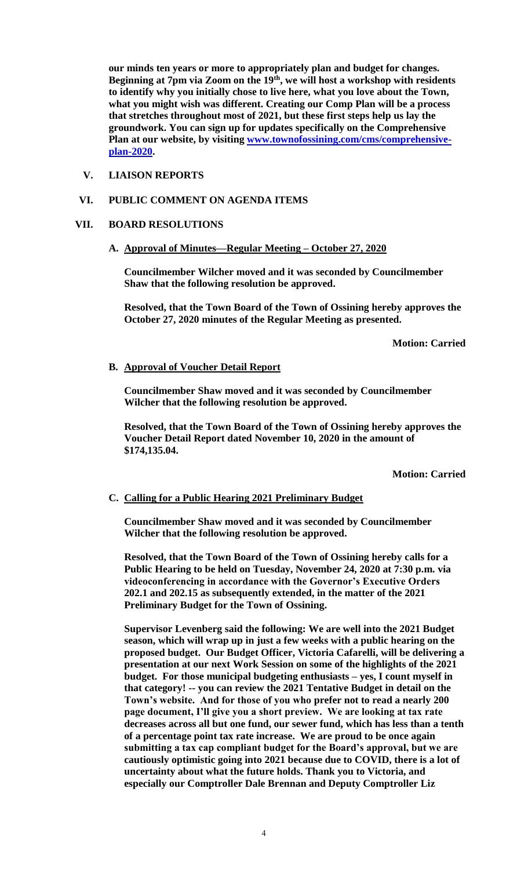**our minds ten years or more to appropriately plan and budget for changes. Beginning at 7pm via Zoom on the 19th, we will host a workshop with residents to identify why you initially chose to live here, what you love about the Town, what you might wish was different. Creating our Comp Plan will be a process that stretches throughout most of 2021, but these first steps help us lay the groundwork. You can sign up for updates specifically on the Comprehensive Plan at our website, by visiting [www.townofossining.com/cms/comprehensive](http://www.townofossining.com/cms/comprehensive-plan-2020)[plan-2020.](http://www.townofossining.com/cms/comprehensive-plan-2020)** 

# **V. LIAISON REPORTS**

### **VI. PUBLIC COMMENT ON AGENDA ITEMS**

### **VII. BOARD RESOLUTIONS**

# **A. Approval of Minutes—Regular Meeting – October 27, 2020**

**Councilmember Wilcher moved and it was seconded by Councilmember Shaw that the following resolution be approved.**

**Resolved, that the Town Board of the Town of Ossining hereby approves the October 27, 2020 minutes of the Regular Meeting as presented.**

**Motion: Carried**

#### **B. Approval of Voucher Detail Report**

**Councilmember Shaw moved and it was seconded by Councilmember Wilcher that the following resolution be approved.**

**Resolved, that the Town Board of the Town of Ossining hereby approves the Voucher Detail Report dated November 10, 2020 in the amount of \$174,135.04.**

**Motion: Carried**

### **C. Calling for a Public Hearing 2021 Preliminary Budget**

**Councilmember Shaw moved and it was seconded by Councilmember Wilcher that the following resolution be approved.**

**Resolved, that the Town Board of the Town of Ossining hereby calls for a Public Hearing to be held on Tuesday, November 24, 2020 at 7:30 p.m. via videoconferencing in accordance with the Governor's Executive Orders 202.1 and 202.15 as subsequently extended, in the matter of the 2021 Preliminary Budget for the Town of Ossining.** 

**Supervisor Levenberg said the following: We are well into the 2021 Budget season, which will wrap up in just a few weeks with a public hearing on the proposed budget. Our Budget Officer, Victoria Cafarelli, will be delivering a presentation at our next Work Session on some of the highlights of the 2021 budget. For those municipal budgeting enthusiasts – yes, I count myself in that category! -- you can review the 2021 Tentative Budget in detail on the Town's website. And for those of you who prefer not to read a nearly 200 page document, I'll give you a short preview. We are looking at tax rate decreases across all but one fund, our sewer fund, which has less than a tenth of a percentage point tax rate increase. We are proud to be once again submitting a tax cap compliant budget for the Board's approval, but we are cautiously optimistic going into 2021 because due to COVID, there is a lot of uncertainty about what the future holds. Thank you to Victoria, and especially our Comptroller Dale Brennan and Deputy Comptroller Liz**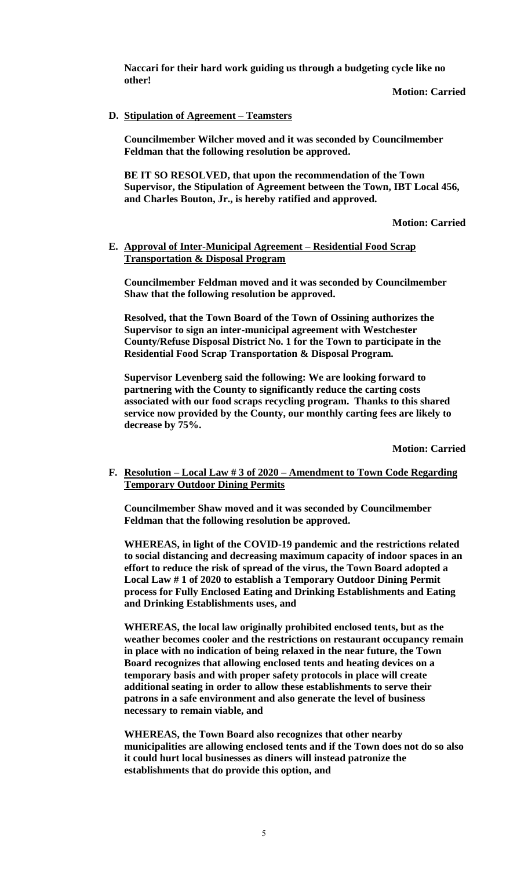**Naccari for their hard work guiding us through a budgeting cycle like no other!** 

**Motion: Carried**

## **D. Stipulation of Agreement – Teamsters**

**Councilmember Wilcher moved and it was seconded by Councilmember Feldman that the following resolution be approved.**

**BE IT SO RESOLVED, that upon the recommendation of the Town Supervisor, the Stipulation of Agreement between the Town, IBT Local 456, and Charles Bouton, Jr., is hereby ratified and approved.**

**Motion: Carried**

### **E. Approval of Inter-Municipal Agreement – Residential Food Scrap Transportation & Disposal Program**

**Councilmember Feldman moved and it was seconded by Councilmember Shaw that the following resolution be approved.**

**Resolved, that the Town Board of the Town of Ossining authorizes the Supervisor to sign an inter-municipal agreement with Westchester County/Refuse Disposal District No. 1 for the Town to participate in the Residential Food Scrap Transportation & Disposal Program.**

**Supervisor Levenberg said the following: We are looking forward to partnering with the County to significantly reduce the carting costs associated with our food scraps recycling program. Thanks to this shared service now provided by the County, our monthly carting fees are likely to decrease by 75%.** 

**Motion: Carried**

**F. Resolution – Local Law # 3 of 2020 – Amendment to Town Code Regarding Temporary Outdoor Dining Permits**

**Councilmember Shaw moved and it was seconded by Councilmember Feldman that the following resolution be approved.**

**WHEREAS, in light of the COVID-19 pandemic and the restrictions related to social distancing and decreasing maximum capacity of indoor spaces in an effort to reduce the risk of spread of the virus, the Town Board adopted a Local Law # 1 of 2020 to establish a Temporary Outdoor Dining Permit process for Fully Enclosed Eating and Drinking Establishments and Eating and Drinking Establishments uses, and**

**WHEREAS, the local law originally prohibited enclosed tents, but as the weather becomes cooler and the restrictions on restaurant occupancy remain in place with no indication of being relaxed in the near future, the Town Board recognizes that allowing enclosed tents and heating devices on a temporary basis and with proper safety protocols in place will create additional seating in order to allow these establishments to serve their patrons in a safe environment and also generate the level of business necessary to remain viable, and**

**WHEREAS, the Town Board also recognizes that other nearby municipalities are allowing enclosed tents and if the Town does not do so also it could hurt local businesses as diners will instead patronize the establishments that do provide this option, and**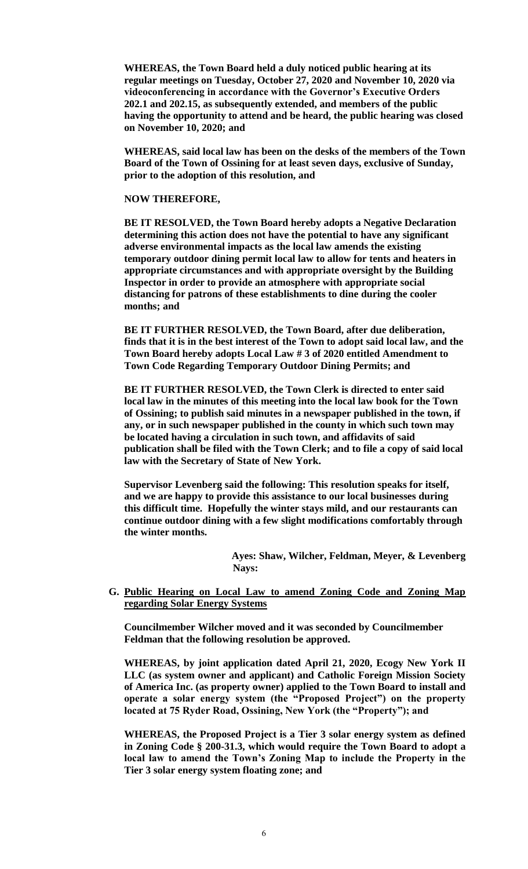**WHEREAS, the Town Board held a duly noticed public hearing at its regular meetings on Tuesday, October 27, 2020 and November 10, 2020 via videoconferencing in accordance with the Governor's Executive Orders 202.1 and 202.15, as subsequently extended, and members of the public having the opportunity to attend and be heard, the public hearing was closed on November 10, 2020; and**

**WHEREAS, said local law has been on the desks of the members of the Town Board of the Town of Ossining for at least seven days, exclusive of Sunday, prior to the adoption of this resolution, and**

#### **NOW THEREFORE,**

**BE IT RESOLVED, the Town Board hereby adopts a Negative Declaration determining this action does not have the potential to have any significant adverse environmental impacts as the local law amends the existing temporary outdoor dining permit local law to allow for tents and heaters in appropriate circumstances and with appropriate oversight by the Building Inspector in order to provide an atmosphere with appropriate social distancing for patrons of these establishments to dine during the cooler months; and**

**BE IT FURTHER RESOLVED, the Town Board, after due deliberation, finds that it is in the best interest of the Town to adopt said local law, and the Town Board hereby adopts Local Law # 3 of 2020 entitled Amendment to Town Code Regarding Temporary Outdoor Dining Permits; and** 

**BE IT FURTHER RESOLVED, the Town Clerk is directed to enter said local law in the minutes of this meeting into the local law book for the Town of Ossining; to publish said minutes in a newspaper published in the town, if any, or in such newspaper published in the county in which such town may be located having a circulation in such town, and affidavits of said publication shall be filed with the Town Clerk; and to file a copy of said local law with the Secretary of State of New York.**

**Supervisor Levenberg said the following: This resolution speaks for itself, and we are happy to provide this assistance to our local businesses during this difficult time. Hopefully the winter stays mild, and our restaurants can continue outdoor dining with a few slight modifications comfortably through the winter months.** 

> **Ayes: Shaw, Wilcher, Feldman, Meyer, & Levenberg Nays:**

**G. Public Hearing on Local Law to amend Zoning Code and Zoning Map regarding Solar Energy Systems**

**Councilmember Wilcher moved and it was seconded by Councilmember Feldman that the following resolution be approved.**

**WHEREAS, by joint application dated April 21, 2020, Ecogy New York II LLC (as system owner and applicant) and Catholic Foreign Mission Society of America Inc. (as property owner) applied to the Town Board to install and operate a solar energy system (the "Proposed Project") on the property located at 75 Ryder Road, Ossining, New York (the "Property"); and**

**WHEREAS, the Proposed Project is a Tier 3 solar energy system as defined in Zoning Code § 200-31.3, which would require the Town Board to adopt a local law to amend the Town's Zoning Map to include the Property in the Tier 3 solar energy system floating zone; and**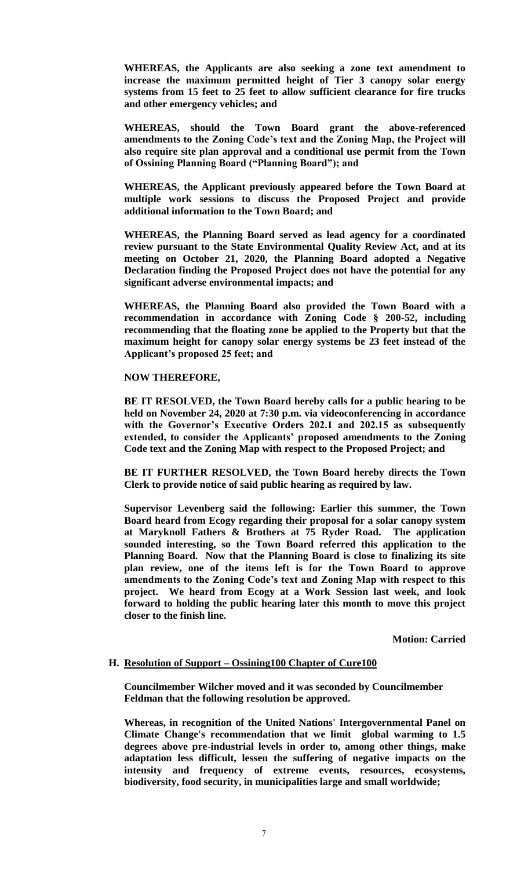**WHEREAS, the Applicants are also seeking a zone text amendment to increase the maximum permitted height of Tier 3 canopy solar energy systems from 15 feet to 25 feet to allow sufficient clearance for fire trucks and other emergency vehicles; and**

**WHEREAS, should the Town Board grant the above-referenced amendments to the Zoning Code's text and the Zoning Map, the Project will also require site plan approval and a conditional use permit from the Town of Ossining Planning Board ("Planning Board"); and**

**WHEREAS, the Applicant previously appeared before the Town Board at multiple work sessions to discuss the Proposed Project and provide additional information to the Town Board; and**

**WHEREAS, the Planning Board served as lead agency for a coordinated review pursuant to the State Environmental Quality Review Act, and at its meeting on October 21, 2020, the Planning Board adopted a Negative Declaration finding the Proposed Project does not have the potential for any significant adverse environmental impacts; and**

**WHEREAS, the Planning Board also provided the Town Board with a recommendation in accordance with Zoning Code § 200-52, including recommending that the floating zone be applied to the Property but that the maximum height for canopy solar energy systems be 23 feet instead of the Applicant's proposed 25 feet; and**

#### **NOW THEREFORE,**

**BE IT RESOLVED, the Town Board hereby calls for a public hearing to be held on November 24, 2020 at 7:30 p.m. via videoconferencing in accordance with the Governor's Executive Orders 202.1 and 202.15 as subsequently extended, to consider the Applicants' proposed amendments to the Zoning Code text and the Zoning Map with respect to the Proposed Project; and**

**BE IT FURTHER RESOLVED, the Town Board hereby directs the Town Clerk to provide notice of said public hearing as required by law.** 

**Supervisor Levenberg said the following: Earlier this summer, the Town Board heard from Ecogy regarding their proposal for a solar canopy system at Maryknoll Fathers & Brothers at 75 Ryder Road. The application sounded interesting, so the Town Board referred this application to the Planning Board. Now that the Planning Board is close to finalizing its site plan review, one of the items left is for the Town Board to approve amendments to the Zoning Code's text and Zoning Map with respect to this project. We heard from Ecogy at a Work Session last week, and look forward to holding the public hearing later this month to move this project closer to the finish line.** 

**Motion: Carried**

#### **H. Resolution of Support – Ossining100 Chapter of Cure100**

**Councilmember Wilcher moved and it was seconded by Councilmember Feldman that the following resolution be approved.**

**Whereas, in recognition of the United Nations' Intergovernmental Panel on Climate Change's recommendation that we limit global warming to 1.5 degrees above pre-industrial levels in order to, among other things, make adaptation less difficult, lessen the suffering of negative impacts on the intensity and frequency of extreme events, resources, ecosystems, biodiversity, food security, in municipalities large and small worldwide;**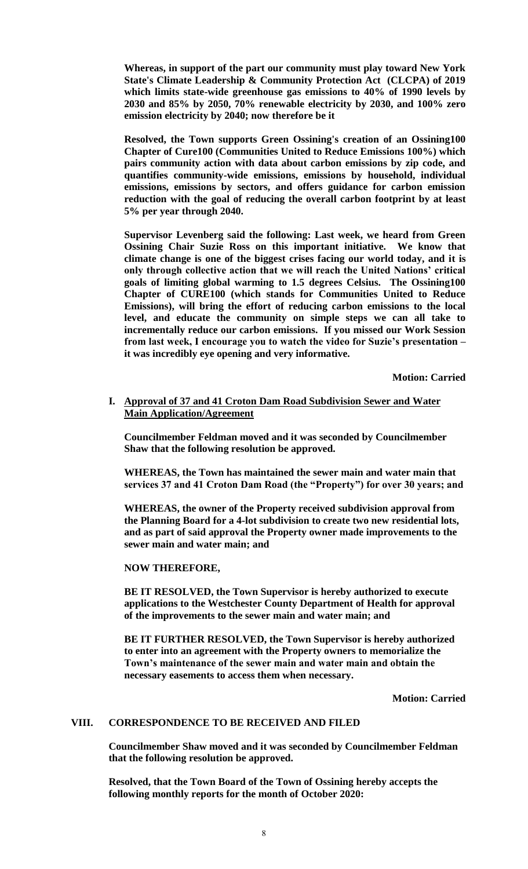**Whereas, in support of the part our community must play toward New York State's Climate Leadership & Community Protection Act (CLCPA) of 2019 which limits state-wide greenhouse gas emissions to 40% of 1990 levels by 2030 and 85% by 2050, 70% renewable electricity by 2030, and 100% zero emission electricity by 2040; now therefore be it** 

**Resolved, the Town supports Green Ossining's creation of an Ossining100 Chapter of Cure100 (Communities United to Reduce Emissions 100%) which pairs community action with data about carbon emissions by zip code, and quantifies community-wide emissions, emissions by household, individual emissions, emissions by sectors, and offers guidance for carbon emission reduction with the goal of reducing the overall carbon footprint by at least 5% per year through 2040.**

**Supervisor Levenberg said the following: Last week, we heard from Green Ossining Chair Suzie Ross on this important initiative. We know that climate change is one of the biggest crises facing our world today, and it is only through collective action that we will reach the United Nations' critical goals of limiting global warming to 1.5 degrees Celsius. The Ossining100 Chapter of CURE100 (which stands for Communities United to Reduce Emissions), will bring the effort of reducing carbon emissions to the local level, and educate the community on simple steps we can all take to incrementally reduce our carbon emissions. If you missed our Work Session from last week, I encourage you to watch the video for Suzie's presentation – it was incredibly eye opening and very informative.** 

**Motion: Carried**

**I. Approval of 37 and 41 Croton Dam Road Subdivision Sewer and Water Main Application/Agreement**

**Councilmember Feldman moved and it was seconded by Councilmember Shaw that the following resolution be approved.**

**WHEREAS, the Town has maintained the sewer main and water main that services 37 and 41 Croton Dam Road (the "Property") for over 30 years; and**

**WHEREAS, the owner of the Property received subdivision approval from the Planning Board for a 4-lot subdivision to create two new residential lots, and as part of said approval the Property owner made improvements to the sewer main and water main; and**

**NOW THEREFORE,**

**BE IT RESOLVED, the Town Supervisor is hereby authorized to execute applications to the Westchester County Department of Health for approval of the improvements to the sewer main and water main; and** 

**BE IT FURTHER RESOLVED, the Town Supervisor is hereby authorized to enter into an agreement with the Property owners to memorialize the Town's maintenance of the sewer main and water main and obtain the necessary easements to access them when necessary.**

**Motion: Carried**

## **VIII. CORRESPONDENCE TO BE RECEIVED AND FILED**

**Councilmember Shaw moved and it was seconded by Councilmember Feldman that the following resolution be approved.**

**Resolved, that the Town Board of the Town of Ossining hereby accepts the following monthly reports for the month of October 2020:**